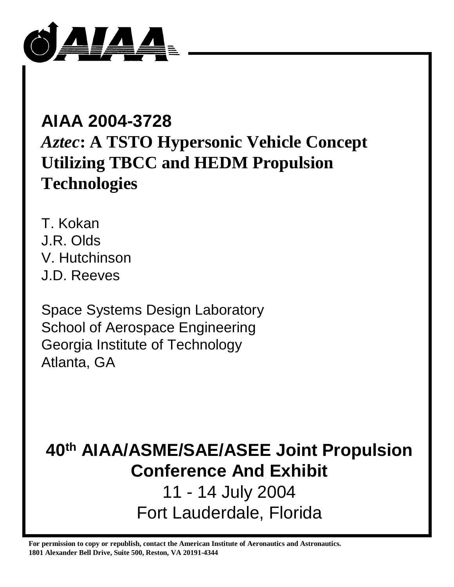

# **AIAA 2004-3728** *Aztec***: A TSTO Hypersonic Vehicle Concept Utilizing TBCC and HEDM Propulsion Technologies**

T. Kokan J.R. Olds V. Hutchinson J.D. Reeves

Space Systems Design Laboratory School of Aerospace Engineering Georgia Institute of Technology Atlanta, GA

# **40th AIAA/ASME/SAE/ASEE Joint Propulsion Conference And Exhibit**

11 - 14 July 2004 Fort Lauderdale, Florida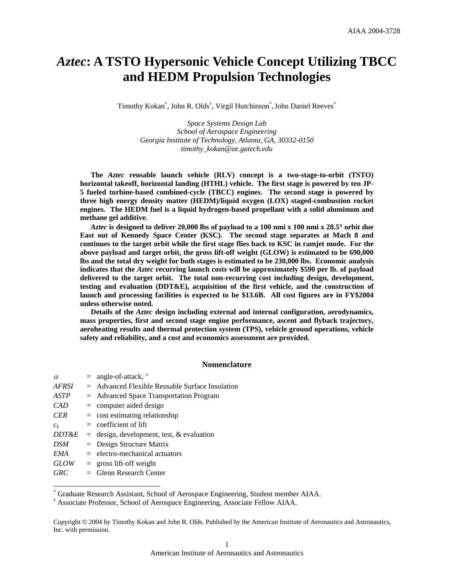# *Aztec***: A TSTO Hypersonic Vehicle Concept Utilizing TBCC and HEDM Propulsion Technologies**

Timothy Kokan<sup>\*</sup>, John R. Olds<sup>†</sup>, Virgil Hutchinson<sup>\*</sup>, John Daniel Reeves<sup>\*</sup>

*Space Systems Design Lab School of Aerospace Engineering Georgia Institute of Technology, Atlanta, GA, 30332-0150 timothy\_kokan@ae.gatech.edu* 

**The** *Aztec* **reusable launch vehicle (RLV) concept is a two-stage-to-orbit (TSTO) horizontal takeoff, horizontal landing (HTHL) vehicle. The first stage is powered by ten JP-5 fueled turbine-based combined-cycle (TBCC) engines. The second stage is powered by three high energy density matter (HEDM)/liquid oxygen (LOX) staged-combustion rocket engines. The HEDM fuel is a liquid hydrogen-based propellant with a solid aluminum and methane gel additive.** 

*Aztec* **is designed to deliver 20,000 lbs of payload to a 100 nmi x 100 nmi x 28.5**° **orbit due East out of Kennedy Space Center (KSC). The second stage separates at Mach 8 and continues to the target orbit while the first stage flies back to KSC in ramjet mode. For the above payload and target orbit, the gross lift-off weight (GLOW) is estimated to be 690,000 lbs and the total dry weight for both stages is estimated to be 230,000 lbs. Economic analysis indicates that the** *Aztec* **recurring launch costs will be approximately \$590 per lb. of payload delivered to the target orbit. The total non-recurring cost including design, development, testing and evaluation (DDT&E), acquisition of the first vehicle, and the construction of launch and processing facilities is expected to be \$13.6B. All cost figures are in FY\$2004 unless otherwise noted.** 

**Details of the** *Aztec* **design including external and internal configuration, aerodynamics, mass properties, first and second stage engine performance, ascent and flyback trajectory, aeroheating results and thermal protection system (TPS), vehicle ground operations, vehicle safety and reliability, and a cost and economics assessment are provided.** 

# **Nomenclature**

| $\alpha$         | $=$ angle-of-attack, $\circ$                      |
|------------------|---------------------------------------------------|
| AFRSI            | $=$ Advanced Flexible Reusable Surface Insulation |
| ASTP             | $=$ Advanced Space Transportation Program         |
| CAD              | $=$ computer aided design                         |
| <b>CER</b>       | $=$ cost estimating relationship                  |
| $c_L$            | $=$ coefficient of lift                           |
| <i>DDT&amp;E</i> | $=$ design, development, test, & evaluation       |
| DSM              | $=$ Design Structure Matrix                       |
| EMA              | $=$ electro-mechanical actuators                  |
| <b>GLOW</b>      | $=$ gross lift-off weight                         |
| <b>GRC</b>       | $=$ Glenn Research Center                         |

-

\* Graduate Research Assistant, School of Aerospace Engineering, Student member AIAA.

† Associate Professor, School of Aerospace Engineering, Associate Fellow AIAA.

Copyright © 2004 by Timothy Kokan and John R. Olds. Published by the American Institute of Aeronautics and Astronautics, Inc. with permission.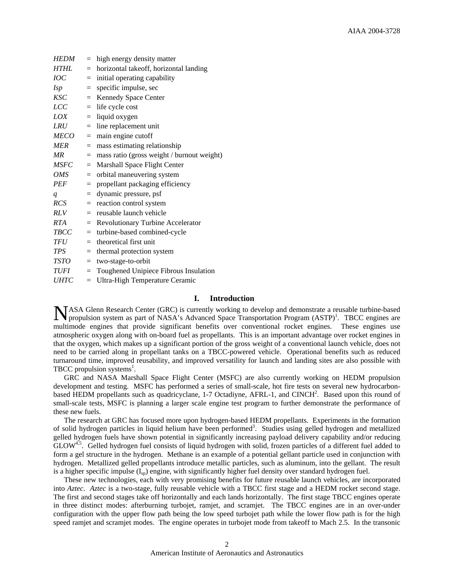| <b>HEDM</b>      | $=$ | high energy density matter                 |
|------------------|-----|--------------------------------------------|
| <b>HTHL</b>      | $=$ | horizontal takeoff, horizontal landing     |
| IOC              | $=$ | initial operating capability               |
| <i>Isp</i>       | $=$ | specific impulse, sec                      |
| <b>KSC</b>       | $=$ | Kennedy Space Center                       |
| <i>LCC</i>       | $=$ | life cycle cost                            |
| LOX              | $=$ | liquid oxygen                              |
| <i>LRU</i>       | $=$ | line replacement unit                      |
| <b>MECO</b>      | $=$ | main engine cutoff                         |
| <b>MER</b>       | $=$ | mass estimating relationship               |
| MR               | $=$ | mass ratio (gross weight / burnout weight) |
| <b>MSFC</b>      | $=$ | Marshall Space Flight Center               |
| <i>OMS</i>       | $=$ | orbital maneuvering system                 |
| <b>PEF</b>       | $=$ | propellant packaging efficiency            |
| $\boldsymbol{q}$ | $=$ | dynamic pressure, psf                      |
| <b>RCS</b>       | $=$ | reaction control system                    |
| RLV              | $=$ | reusable launch vehicle                    |
| <b>RTA</b>       | $=$ | Revolutionary Turbine Accelerator          |
| <b>TBCC</b>      | $=$ | turbine-based combined-cycle               |
| <b>TFU</b>       | $=$ | theoretical first unit                     |
| <b>TPS</b>       | $=$ | thermal protection system                  |
| TSTO             | $=$ | two-stage-to-orbit                         |
| <b>TUFI</b>      | $=$ | Toughened Unipiece Fibrous Insulation      |
| <b>UHTC</b>      | $=$ | Ultra-High Temperature Ceramic             |

# **I. Introduction**

NASA Glenn Research Center (GRC) is currently working to develop and demonstrate a reusable turbine-based propulsion system as part of NASA's Advanced Space Transportation Program (ASTP)<sup>1</sup>. TBCC engines are propulsion system as part of NASA's Advanced Space Transportation Program (ASTP)<sup>1</sup>. TBCC engines are multimode engines that provide significant benefits over conventional rocket engines. These engines use atmospheric oxygen along with on-board fuel as propellants. This is an important advantage over rocket engines in that the oxygen, which makes up a significant portion of the gross weight of a conventional launch vehicle, does not need to be carried along in propellant tanks on a TBCC-powered vehicle. Operational benefits such as reduced turnaround time, improved reusability, and improved versatility for launch and landing sites are also possible with TBCC propulsion systems $<sup>1</sup>$ .</sup>

GRC and NASA Marshall Space Flight Center (MSFC) are also currently working on HEDM propulsion development and testing. MSFC has performed a series of small-scale, hot fire tests on several new hydrocarbonbased HEDM propellants such as quadricyclane, 1-7 Octadiyne, AFRL-1, and CINCH<sup>2</sup>. Based upon this round of small-scale tests, MSFC is planning a larger scale engine test program to further demonstrate the performance of these new fuels.

The research at GRC has focused more upon hydrogen-based HEDM propellants. Experiments in the formation of solid hydrogen particles in liquid helium have been performed<sup>3</sup>. Studies using gelled hydrogen and metallized gelled hydrogen fuels have shown potential in significantly increasing payload delivery capability and/or reducing  $GLOW<sup>4,5</sup>$ . Gelled hydrogen fuel consists of liquid hydrogen with solid, frozen particles of a different fuel added to form a gel structure in the hydrogen. Methane is an example of a potential gellant particle used in conjunction with hydrogen. Metallized gelled propellants introduce metallic particles, such as aluminum, into the gellant. The result is a higher specific impulse  $(I_{\rm so})$  engine, with significantly higher fuel density over standard hydrogen fuel.

These new technologies, each with very promising benefits for future reusable launch vehicles, are incorporated into *Aztec*. *Aztec* is a two-stage, fully reusable vehicle with a TBCC first stage and a HEDM rocket second stage. The first and second stages take off horizontally and each lands horizontally. The first stage TBCC engines operate in three distinct modes: afterburning turbojet, ramjet, and scramjet. The TBCC engines are in an over-under configuration with the upper flow path being the low speed turbojet path while the lower flow path is for the high speed ramjet and scramjet modes. The engine operates in turbojet mode from takeoff to Mach 2.5. In the transonic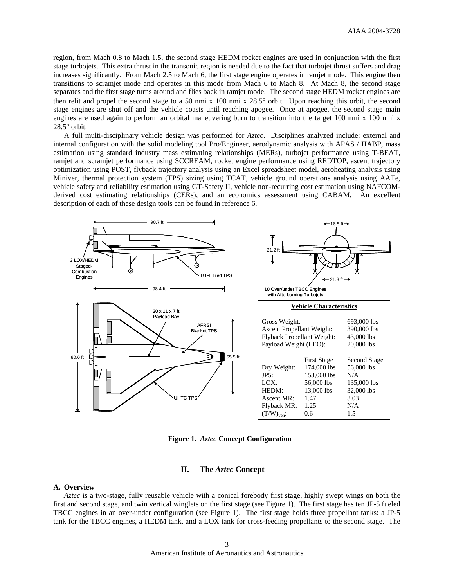region, from Mach 0.8 to Mach 1.5, the second stage HEDM rocket engines are used in conjunction with the first stage turbojets. This extra thrust in the transonic region is needed due to the fact that turbojet thrust suffers and drag increases significantly. From Mach 2.5 to Mach 6, the first stage engine operates in ramjet mode. This engine then transitions to scramjet mode and operates in this mode from Mach 6 to Mach 8. At Mach 8, the second stage separates and the first stage turns around and flies back in ramjet mode. The second stage HEDM rocket engines are then relit and propel the second stage to a 50 nmi x 100 nmi x 28.5° orbit. Upon reaching this orbit, the second stage engines are shut off and the vehicle coasts until reaching apogee. Once at apogee, the second stage main engines are used again to perform an orbital maneuvering burn to transition into the target 100 nmi x 100 nmi x 28.5° orbit.

A full multi-disciplinary vehicle design was performed for *Aztec*. Disciplines analyzed include: external and internal configuration with the solid modeling tool Pro/Engineer, aerodynamic analysis with APAS / HABP, mass estimation using standard industry mass estimating relationships (MERs), turbojet performance using T-BEAT, ramjet and scramjet performance using SCCREAM, rocket engine performance using REDTOP, ascent trajectory optimization using POST, flyback trajectory analysis using an Excel spreadsheet model, aeroheating analysis using Miniver, thermal protection system (TPS) sizing using TCAT, vehicle ground operations analysis using AATe, vehicle safety and reliability estimation using GT-Safety II, vehicle non-recurring cost estimation using NAFCOMderived cost estimating relationships (CERs), and an economics assessment using CABAM. An excellent description of each of these design tools can be found in reference 6.



**Figure 1.** *Aztec* **Concept Configuration** 

# **II. The** *Aztec* **Concept**

#### **A. Overview**

*Aztec* is a two-stage, fully reusable vehicle with a conical forebody first stage, highly swept wings on both the first and second stage, and twin vertical winglets on the first stage (see Figure 1). The first stage has ten JP-5 fueled TBCC engines in an over-under configuration (see Figure 1). The first stage holds three propellant tanks: a JP-5 tank for the TBCC engines, a HEDM tank, and a LOX tank for cross-feeding propellants to the second stage. The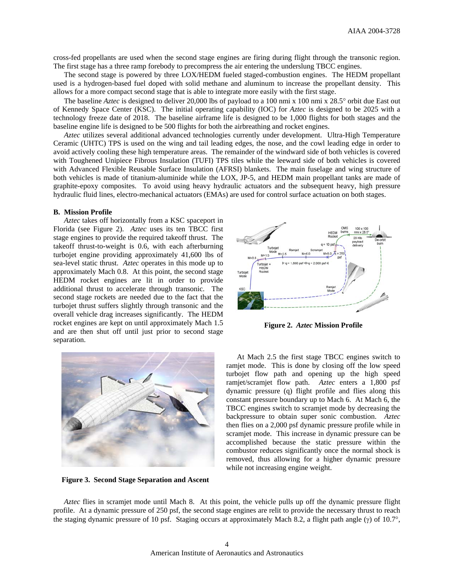cross-fed propellants are used when the second stage engines are firing during flight through the transonic region. The first stage has a three ramp forebody to precompress the air entering the underslung TBCC engines.

The second stage is powered by three LOX/HEDM fueled staged-combustion engines. The HEDM propellant used is a hydrogen-based fuel doped with solid methane and aluminum to increase the propellant density. This allows for a more compact second stage that is able to integrate more easily with the first stage.

The baseline *Aztec* is designed to deliver 20,000 lbs of payload to a 100 nmi x 100 nmi x 28.5° orbit due East out of Kennedy Space Center (KSC). The initial operating capability (IOC) for *Aztec* is designed to be 2025 with a technology freeze date of 2018. The baseline airframe life is designed to be 1,000 flights for both stages and the baseline engine life is designed to be 500 flights for both the airbreathing and rocket engines.

*Aztec* utilizes several additional advanced technologies currently under development. Ultra-High Temperature Ceramic (UHTC) TPS is used on the wing and tail leading edges, the nose, and the cowl leading edge in order to avoid actively cooling these high temperature areas. The remainder of the windward side of both vehicles is covered with Toughened Unipiece Fibrous Insulation (TUFI) TPS tiles while the leeward side of both vehicles is covered with Advanced Flexible Reusable Surface Insulation (AFRSI) blankets. The main fuselage and wing structure of both vehicles is made of titanium-aluminide while the LOX, JP-5, and HEDM main propellant tanks are made of graphite-epoxy composites. To avoid using heavy hydraulic actuators and the subsequent heavy, high pressure hydraulic fluid lines, electro-mechanical actuators (EMAs) are used for control surface actuation on both stages.

# **B. Mission Profile**

*Aztec* takes off horizontally from a KSC spaceport in Florida (see Figure 2). *Aztec* uses its ten TBCC first stage engines to provide the required takeoff thrust. The takeoff thrust-to-weight is 0.6, with each afterburning turbojet engine providing approximately 41,600 lbs of sea-level static thrust. *Aztec* operates in this mode up to approximately Mach 0.8. At this point, the second stage HEDM rocket engines are lit in order to provide additional thrust to accelerate through transonic. The second stage rockets are needed due to the fact that the turbojet thrust suffers slightly through transonic and the overall vehicle drag increases significantly. The HEDM rocket engines are kept on until approximately Mach 1.5 and are then shut off until just prior to second stage separation.



**Figure 2.** *Aztec* **Mission Profile** 



**Figure 3. Second Stage Separation and Ascent** 

At Mach 2.5 the first stage TBCC engines switch to ramjet mode. This is done by closing off the low speed turbojet flow path and opening up the high speed ramjet/scramjet flow path. *Aztec* enters a 1,800 psf dynamic pressure (q) flight profile and flies along this constant pressure boundary up to Mach 6. At Mach 6, the TBCC engines switch to scramjet mode by decreasing the backpressure to obtain super sonic combustion. *Aztec* then flies on a 2,000 psf dynamic pressure profile while in scramjet mode. This increase in dynamic pressure can be accomplished because the static pressure within the combustor reduces significantly once the normal shock is removed, thus allowing for a higher dynamic pressure while not increasing engine weight.

*Aztec* flies in scramjet mode until Mach 8. At this point, the vehicle pulls up off the dynamic pressure flight profile. At a dynamic pressure of 250 psf, the second stage engines are relit to provide the necessary thrust to reach the staging dynamic pressure of 10 psf. Staging occurs at approximately Mach 8.2, a flight path angle (γ) of 10.7°,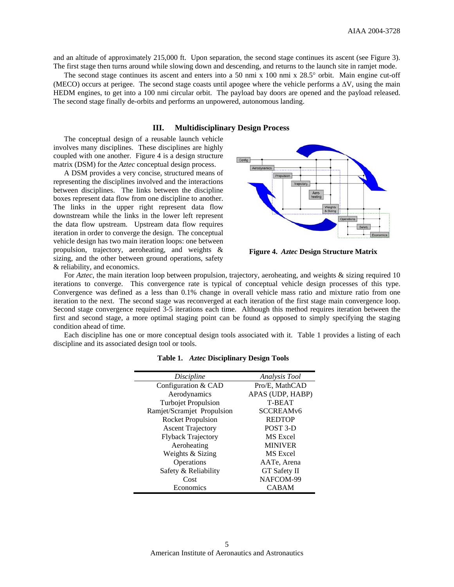and an altitude of approximately 215,000 ft. Upon separation, the second stage continues its ascent (see Figure 3). The first stage then turns around while slowing down and descending, and returns to the launch site in ramjet mode.

The second stage continues its ascent and enters into a 50 nmi x 100 nmi x 28.5° orbit. Main engine cut-off (MECO) occurs at perigee. The second stage coasts until apogee where the vehicle performs a  $\Delta V$ , using the main HEDM engines, to get into a 100 nmi circular orbit. The payload bay doors are opened and the payload released. The second stage finally de-orbits and performs an unpowered, autonomous landing.

# **III. Multidisciplinary Design Process**

The conceptual design of a reusable launch vehicle involves many disciplines. These disciplines are highly coupled with one another. Figure 4 is a design structure matrix (DSM) for the *Aztec* conceptual design process.

A DSM provides a very concise, structured means of representing the disciplines involved and the interactions between disciplines. The links between the discipline boxes represent data flow from one discipline to another. The links in the upper right represent data flow downstream while the links in the lower left represent the data flow upstream. Upstream data flow requires iteration in order to converge the design. The conceptual vehicle design has two main iteration loops: one between propulsion, trajectory, aeroheating, and weights & sizing, and the other between ground operations, safety & reliability, and economics.



**Figure 4.** *Aztec* **Design Structure Matrix** 

For *Aztec*, the main iteration loop between propulsion, trajectory, aeroheating, and weights & sizing required 10 iterations to converge. This convergence rate is typical of conceptual vehicle design processes of this type. Convergence was defined as a less than 0.1% change in overall vehicle mass ratio and mixture ratio from one iteration to the next. The second stage was reconverged at each iteration of the first stage main convergence loop. Second stage convergence required 3-5 iterations each time. Although this method requires iteration between the first and second stage, a more optimal staging point can be found as opposed to simply specifying the staging condition ahead of time.

Each discipline has one or more conceptual design tools associated with it. Table 1 provides a listing of each discipline and its associated design tool or tools.

| Discipline                 | Analysis Tool       |
|----------------------------|---------------------|
| Configuration & CAD        | Pro/E. MathCAD      |
| Aerodynamics               | APAS (UDP, HABP)    |
| Turbojet Propulsion        | T-BEAT              |
| Ramjet/Scramjet Propulsion | <b>SCCREAMv6</b>    |
| <b>Rocket Propulsion</b>   | <b>REDTOP</b>       |
| <b>Ascent Trajectory</b>   | POST 3-D            |
| <b>Flyback Trajectory</b>  | MS Excel            |
| Aeroheating                | <b>MINIVER</b>      |
| Weights & Sizing           | MS Excel            |
| Operations                 | AATe, Arena         |
| Safety & Reliability       | <b>GT</b> Safety II |
| Cost                       | NAFCOM-99           |
| Economics                  | <b>CABAM</b>        |
|                            |                     |

**Table 1.** *Aztec* **Disciplinary Design Tools**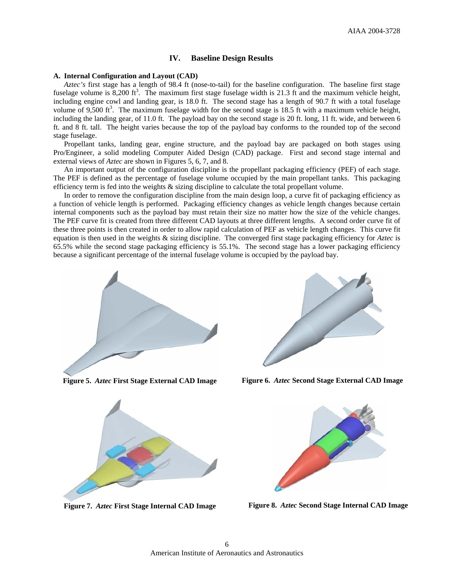# **IV. Baseline Design Results**

### **A. Internal Configuration and Layout (CAD)**

*Aztec's* first stage has a length of 98.4 ft (nose-to-tail) for the baseline configuration. The baseline first stage fuselage volume is  $8,200$  ft<sup>3</sup>. The maximum first stage fuselage width is 21.3 ft and the maximum vehicle height, including engine cowl and landing gear, is 18.0 ft. The second stage has a length of 90.7 ft with a total fuselage volume of 9,500 ft<sup>3</sup>. The maximum fuselage width for the second stage is 18.5 ft with a maximum vehicle height, including the landing gear, of 11.0 ft. The payload bay on the second stage is 20 ft. long, 11 ft. wide, and between 6 ft. and 8 ft. tall. The height varies because the top of the payload bay conforms to the rounded top of the second stage fuselage.

Propellant tanks, landing gear, engine structure, and the payload bay are packaged on both stages using Pro/Engineer, a solid modeling Computer Aided Design (CAD) package. First and second stage internal and external views of *Aztec* are shown in Figures 5, 6, 7, and 8.

An important output of the configuration discipline is the propellant packaging efficiency (PEF) of each stage. The PEF is defined as the percentage of fuselage volume occupied by the main propellant tanks. This packaging efficiency term is fed into the weights & sizing discipline to calculate the total propellant volume.

In order to remove the configuration discipline from the main design loop, a curve fit of packaging efficiency as a function of vehicle length is performed. Packaging efficiency changes as vehicle length changes because certain internal components such as the payload bay must retain their size no matter how the size of the vehicle changes. The PEF curve fit is created from three different CAD layouts at three different lengths. A second order curve fit of these three points is then created in order to allow rapid calculation of PEF as vehicle length changes. This curve fit equation is then used in the weights & sizing discipline. The converged first stage packaging efficiency for *Aztec* is 65.5% while the second stage packaging efficiency is 55.1%. The second stage has a lower packaging efficiency because a significant percentage of the internal fuselage volume is occupied by the payload bay.



**Figure 5.** *Aztec* **First Stage External CAD Image** 



**Figure 6.** *Aztec* **Second Stage External CAD Image** 



**Figure 7.** *Aztec* **First Stage Internal CAD Image** 



**Figure 8.** *Aztec* **Second Stage Internal CAD Image**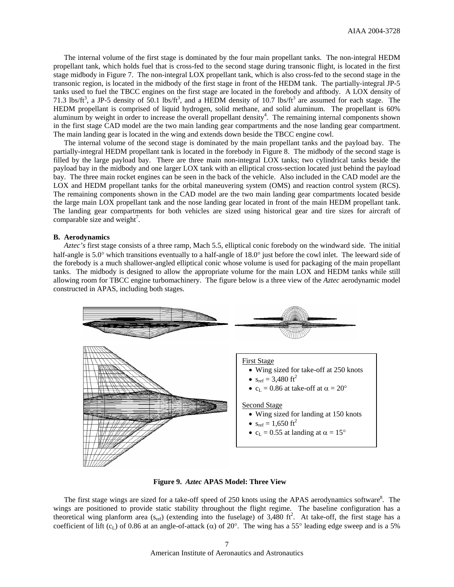The internal volume of the first stage is dominated by the four main propellant tanks. The non-integral HEDM propellant tank, which holds fuel that is cross-fed to the second stage during transonic flight, is located in the first stage midbody in Figure 7. The non-integral LOX propellant tank, which is also cross-fed to the second stage in the transonic region, is located in the midbody of the first stage in front of the HEDM tank. The partially-integral JP-5 tanks used to fuel the TBCC engines on the first stage are located in the forebody and aftbody. A LOX density of 71.3 lbs/ft<sup>3</sup>, a JP-5 density of 50.1 lbs/ft<sup>3</sup>, and a HEDM density of 10.7 lbs/ft<sup>3</sup> are assumed for each stage. The HEDM propellant is comprised of liquid hydrogen, solid methane, and solid aluminum. The propellant is 60% aluminum by weight in order to increase the overall propellant density<sup>4</sup>. The remaining internal components shown in the first stage CAD model are the two main landing gear compartments and the nose landing gear compartment. The main landing gear is located in the wing and extends down beside the TBCC engine cowl.

The internal volume of the second stage is dominated by the main propellant tanks and the payload bay. The partially-integral HEDM propellant tank is located in the forebody in Figure 8. The midbody of the second stage is filled by the large payload bay. There are three main non-integral LOX tanks; two cylindrical tanks beside the payload bay in the midbody and one larger LOX tank with an elliptical cross-section located just behind the payload bay. The three main rocket engines can be seen in the back of the vehicle. Also included in the CAD model are the LOX and HEDM propellant tanks for the orbital maneuvering system (OMS) and reaction control system (RCS). The remaining components shown in the CAD model are the two main landing gear compartments located beside the large main LOX propellant tank and the nose landing gear located in front of the main HEDM propellant tank. The landing gear compartments for both vehicles are sized using historical gear and tire sizes for aircraft of comparable size and weight<sup>7</sup>.

#### **B. Aerodynamics**

*Aztec's* first stage consists of a three ramp, Mach 5.5, elliptical conic forebody on the windward side. The initial half-angle is 5.0° which transitions eventually to a half-angle of 18.0° just before the cowl inlet. The leeward side of the forebody is a much shallower-angled elliptical conic whose volume is used for packaging of the main propellant tanks. The midbody is designed to allow the appropriate volume for the main LOX and HEDM tanks while still allowing room for TBCC engine turbomachinery. The figure below is a three view of the *Aztec* aerodynamic model constructed in APAS, including both stages.



**Figure 9.** *Aztec* **APAS Model: Three View** 

The first stage wings are sized for a take-off speed of 250 knots using the APAS aerodynamics software<sup>8</sup>. The wings are positioned to provide static stability throughout the flight regime. The baseline configuration has a theoretical wing planform area  $(s_{ref})$  (extending into the fuselage) of 3,480 ft<sup>2</sup>. At take-off, the first stage has a coefficient of lift (c<sub>L</sub>) of 0.86 at an angle-of-attack ( $\alpha$ ) of 20°. The wing has a 55° leading edge sweep and is a 5%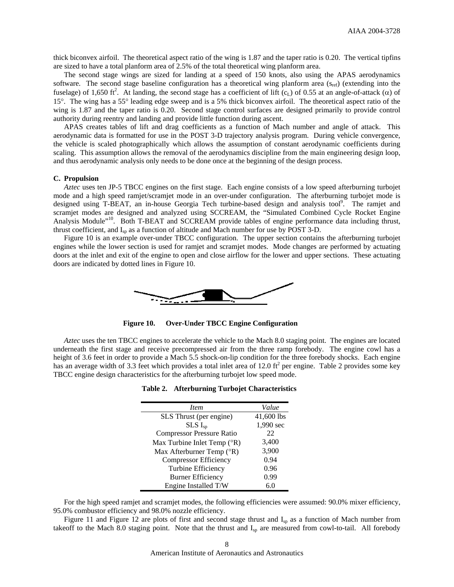thick biconvex airfoil. The theoretical aspect ratio of the wing is 1.87 and the taper ratio is 0.20. The vertical tipfins are sized to have a total planform area of 2.5% of the total theoretical wing planform area.

The second stage wings are sized for landing at a speed of 150 knots, also using the APAS aerodynamics software. The second stage baseline configuration has a theoretical wing planform area  $(s_{ref})$  (extending into the fuselage) of 1,650 ft<sup>2</sup>. At landing, the second stage has a coefficient of lift (c<sub>L</sub>) of 0.55 at an angle-of-attack ( $\alpha$ ) of 15°. The wing has a 55° leading edge sweep and is a 5% thick biconvex airfoil. The theoretical aspect ratio of the wing is 1.87 and the taper ratio is 0.20. Second stage control surfaces are designed primarily to provide control authority during reentry and landing and provide little function during ascent.

APAS creates tables of lift and drag coefficients as a function of Mach number and angle of attack. This aerodynamic data is formatted for use in the POST 3-D trajectory analysis program. During vehicle convergence, the vehicle is scaled photographically which allows the assumption of constant aerodynamic coefficients during scaling. This assumption allows the removal of the aerodynamics discipline from the main engineering design loop, and thus aerodynamic analysis only needs to be done once at the beginning of the design process.

# **C. Propulsion**

*Aztec* uses ten JP-5 TBCC engines on the first stage. Each engine consists of a low speed afterburning turbojet mode and a high speed ramjet/scramjet mode in an over-under configuration. The afterburning turbojet mode is designed using T-BEAT, an in-house Georgia Tech turbine-based design and analysis tool<sup>9</sup>. The ramjet and scramjet modes are designed and analyzed using SCCREAM, the "Simulated Combined Cycle Rocket Engine Analysis Module"<sup>10</sup>. Both T-BEAT and SCCREAM provide tables of engine performance data including thrust, thrust coefficient, and I<sub>sp</sub> as a function of altitude and Mach number for use by POST 3-D.

Figure 10 is an example over-under TBCC configuration. The upper section contains the afterburning turbojet engines while the lower section is used for ramjet and scramjet modes. Mode changes are performed by actuating doors at the inlet and exit of the engine to open and close airflow for the lower and upper sections. These actuating doors are indicated by dotted lines in Figure 10.



**Figure 10. Over-Under TBCC Engine Configuration** 

*Aztec* uses the ten TBCC engines to accelerate the vehicle to the Mach 8.0 staging point. The engines are located underneath the first stage and receive precompressed air from the three ramp forebody. The engine cowl has a height of 3.6 feet in order to provide a Mach 5.5 shock-on-lip condition for the three forebody shocks. Each engine has an average width of 3.3 feet which provides a total inlet area of 12.0 ft<sup>2</sup> per engine. Table 2 provides some key TBCC engine design characteristics for the afterburning turbojet low speed mode.

| <i>Item</i>                            | Value      |
|----------------------------------------|------------|
| SLS Thrust (per engine)                | 41,600 lbs |
| $SLS I_{sp}$                           | 1,990 sec  |
| <b>Compressor Pressure Ratio</b>       | 22         |
| Max Turbine Inlet Temp $({}^{\circ}R)$ | 3,400      |
| Max Afterburner Temp (°R)              | 3,900      |
| <b>Compressor Efficiency</b>           | 0.94       |
| Turbine Efficiency                     | 0.96       |
| <b>Burner Efficiency</b>               | 0.99       |
| Engine Installed T/W                   | 6.0        |

**Table 2. Afterburning Turbojet Characteristics** 

For the high speed ramjet and scramjet modes, the following efficiencies were assumed: 90.0% mixer efficiency, 95.0% combustor efficiency and 98.0% nozzle efficiency.

Figure 11 and Figure 12 are plots of first and second stage thrust and I<sub>sp</sub> as a function of Mach number from takeoff to the Mach 8.0 staging point. Note that the thrust and  $I_{sp}$  are measured from cowl-to-tail. All forebody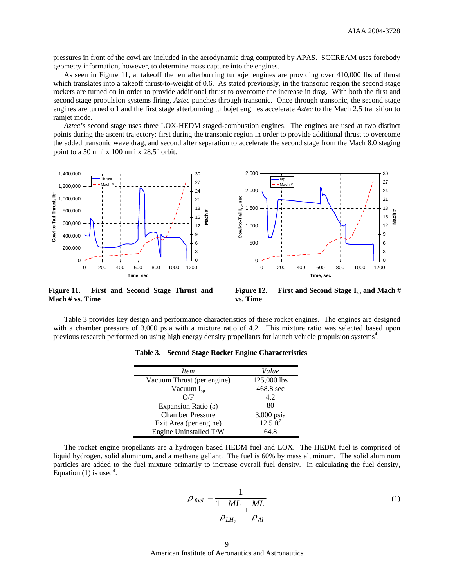pressures in front of the cowl are included in the aerodynamic drag computed by APAS. SCCREAM uses forebody geometry information, however, to determine mass capture into the engines.

As seen in Figure 11, at takeoff the ten afterburning turbojet engines are providing over 410,000 lbs of thrust which translates into a takeoff thrust-to-weight of 0.6. As stated previously, in the transonic region the second stage rockets are turned on in order to provide additional thrust to overcome the increase in drag. With both the first and second stage propulsion systems firing, *Aztec* punches through transonic. Once through transonic, the second stage engines are turned off and the first stage afterburning turbojet engines accelerate *Aztec* to the Mach 2.5 transition to ramjet mode.

*Aztec's* second stage uses three LOX-HEDM staged-combustion engines. The engines are used at two distinct points during the ascent trajectory: first during the transonic region in order to provide additional thrust to overcome the added transonic wave drag, and second after separation to accelerate the second stage from the Mach 8.0 staging point to a 50 nmi x 100 nmi x 28.5° orbit.



**Figure 11. First and Second Stage Thrust and Mach # vs. Time** 

**Figure 12.** First and Second Stage I<sub>sp</sub> and Mach # **vs. Time** 

Table 3 provides key design and performance characteristics of these rocket engines. The engines are designed with a chamber pressure of 3,000 psia with a mixture ratio of 4.2. This mixture ratio was selected based upon previous research performed on using high energy density propellants for launch vehicle propulsion systems<sup>4</sup>.

| Item                         | Value               |
|------------------------------|---------------------|
| Vacuum Thrust (per engine)   | 125,000 lbs         |
| Vacuum $I_{sp}$              | 468.8 sec           |
| O/F                          | 4.2                 |
| Expansion Ratio $(\epsilon)$ | 80                  |
| <b>Chamber Pressure</b>      | 3,000 psia          |
| Exit Area (per engine)       | $12.5 \text{ ft}^2$ |
| Engine Uninstalled T/W       | 64.8                |

**Table 3. Second Stage Rocket Engine Characteristics** 

The rocket engine propellants are a hydrogen based HEDM fuel and LOX. The HEDM fuel is comprised of liquid hydrogen, solid aluminum, and a methane gellant. The fuel is 60% by mass aluminum. The solid aluminum particles are added to the fuel mixture primarily to increase overall fuel density. In calculating the fuel density, Equation  $(1)$  is used<sup>4</sup>.

$$
\rho_{\text{fuel}} = \frac{1}{\frac{1 - ML}{\rho_{\text{LH}_2}} + \frac{ML}{\rho_{\text{Al}}}}
$$
\n(1)

American Institute of Aeronautics and Astronautics 9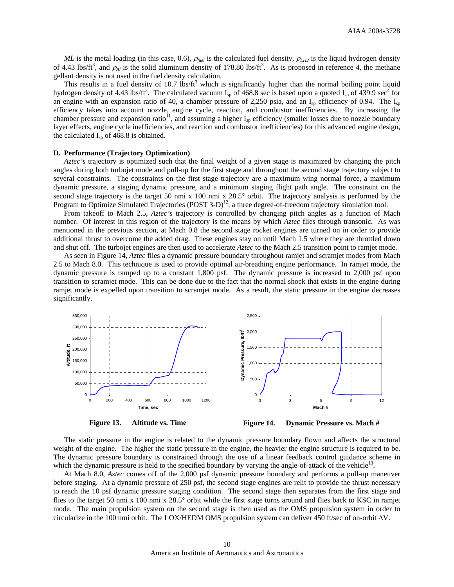*ML* is the metal loading (in this case, 0.6),  $\rho_{\text{field}}$  is the calculated fuel density,  $\rho_{\text{LH2}}$  is the liquid hydrogen density of 4.43 lbs/ft<sup>3</sup>, and  $\rho_{Al}$  is the solid aluminum density of 178.80 lbs/ft<sup>3</sup>. As is proposed in reference 4, the methane gellant density is not used in the fuel density calculation.

This results in a fuel density of 10.7 lbs/ft<sup>3</sup> which is significantly higher than the normal boiling point liquid hydrogen density of 4.43 lbs/ft<sup>3</sup>. The calculated vacuum  $I_{sp}$  of 468.8 sec is based upon a quoted  $I_{sp}$  of 439.9 sec<sup>4</sup> for an engine with an expansion ratio of 40, a chamber pressure of 2,250 psia, and an  $I_{sp}$  efficiency of 0.94. The  $I_{sp}$ efficiency takes into account nozzle, engine cycle, reaction, and combustor inefficiencies. By increasing the chamber pressure and expansion ratio<sup>11</sup>, and assuming a higher  $I_{sp}$  efficiency (smaller losses due to nozzle boundary layer effects, engine cycle inefficiencies, and reaction and combustor inefficiencies) for this advanced engine design, the calculated  $I_{\rm SD}$  of 468.8 is obtained.

#### **D. Performance (Trajectory Optimization)**

*Aztec's* trajectory is optimized such that the final weight of a given stage is maximized by changing the pitch angles during both turbojet mode and pull-up for the first stage and throughout the second stage trajectory subject to several constraints. The constraints on the first stage trajectory are a maximum wing normal force, a maximum dynamic pressure, a staging dynamic pressure, and a minimum staging flight path angle. The constraint on the second stage trajectory is the target 50 nmi x 100 nmi x 28.5° orbit. The trajectory analysis is performed by the Program to Optimize Simulated Trajectories (POST 3-D)<sup>12</sup>, a three degree-of-freedom trajectory simulation tool.

From takeoff to Mach 2.5, *Aztec's* trajectory is controlled by changing pitch angles as a function of Mach number. Of interest in this region of the trajectory is the means by which *Aztec* flies through transonic. As was mentioned in the previous section, at Mach 0.8 the second stage rocket engines are turned on in order to provide additional thrust to overcome the added drag. These engines stay on until Mach 1.5 where they are throttled down and shut off. The turbojet engines are then used to accelerate *Aztec* to the Mach 2.5 transition point to ramjet mode.

As seen in Figure 14, *Aztec* flies a dynamic pressure boundary throughout ramjet and scramjet modes from Mach 2.5 to Mach 8.0. This technique is used to provide optimal air-breathing engine performance. In ramjet mode, the dynamic pressure is ramped up to a constant 1,800 psf. The dynamic pressure is increased to 2,000 psf upon transition to scramjet mode. This can be done due to the fact that the normal shock that exists in the engine during ramjet mode is expelled upon transition to scramjet mode. As a result, the static pressure in the engine decreases significantly.



**Figure 13. Altitude vs. Time** 

**Figure 14. Dynamic Pressure vs. Mach #**

The static pressure in the engine is related to the dynamic pressure boundary flown and affects the structural weight of the engine. The higher the static pressure in the engine, the heavier the engine structure is required to be. The dynamic pressure boundary is constrained through the use of a linear feedback control guidance scheme in which the dynamic pressure is held to the specified boundary by varying the angle-of-attack of the vehicle<sup>13</sup>.

At Mach 8.0, *Aztec* comes off of the 2,000 psf dynamic pressure boundary and performs a pull-up maneuver before staging. At a dynamic pressure of 250 psf, the second stage engines are relit to provide the thrust necessary to reach the 10 psf dynamic pressure staging condition. The second stage then separates from the first stage and flies to the target 50 nmi x 100 nmi x 28.5° orbit while the first stage turns around and flies back to KSC in ramjet mode. The main propulsion system on the second stage is then used as the OMS propulsion system in order to circularize in the 100 nmi orbit. The LOX/HEDM OMS propulsion system can deliver 450 ft/sec of on-orbit ∆V.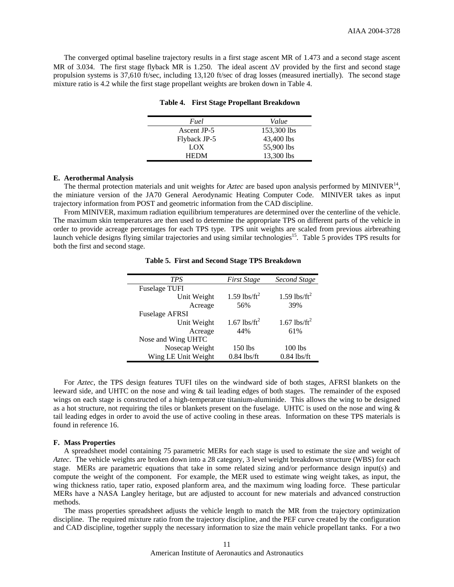The converged optimal baseline trajectory results in a first stage ascent MR of 1.473 and a second stage ascent MR of 3.034. The first stage flyback MR is 1.250. The ideal ascent ∆V provided by the first and second stage propulsion systems is 37,610 ft/sec, including 13,120 ft/sec of drag losses (measured inertially). The second stage mixture ratio is 4.2 while the first stage propellant weights are broken down in Table 4.

| Fuel         | Value       |
|--------------|-------------|
| Ascent JP-5  | 153,300 lbs |
| Flyback JP-5 | 43,400 lbs  |
| LOX          | 55,900 lbs  |
| <b>HEDM</b>  | 13,300 lbs  |

**Table 4. First Stage Propellant Breakdown** 

#### **E. Aerothermal Analysis**

The thermal protection materials and unit weights for  $Aztec$  are based upon analysis performed by MINIVER<sup>14</sup>, the miniature version of the JA70 General Aerodynamic Heating Computer Code. MINIVER takes as input trajectory information from POST and geometric information from the CAD discipline.

From MINIVER, maximum radiation equilibrium temperatures are determined over the centerline of the vehicle. The maximum skin temperatures are then used to determine the appropriate TPS on different parts of the vehicle in order to provide acreage percentages for each TPS type. TPS unit weights are scaled from previous airbreathing launch vehicle designs flying similar trajectories and using similar technologies<sup>15</sup>. Table 5 provides TPS results for both the first and second stage.

| <b>TPS</b>            | <b>First Stage</b>         | Second Stage               |
|-----------------------|----------------------------|----------------------------|
| <b>Fuselage TUFI</b>  |                            |                            |
| Unit Weight           | $1.59$ lbs/ft <sup>2</sup> | $1.59$ lbs/ft <sup>2</sup> |
| Acreage               | 56%                        | 39%                        |
| <b>Fuselage AFRSI</b> |                            |                            |
| Unit Weight           | 1.67 lbs/ft <sup>2</sup>   | 1.67 lbs/ft <sup>2</sup>   |
| Acreage               | 44%                        | 61%                        |
| Nose and Wing UHTC    |                            |                            |
| Nosecap Weight        | 150 lbs                    | $100$ lbs                  |
| Wing LE Unit Weight   | $0.84$ lbs/ft              | $0.84$ lbs/ft              |

**Table 5. First and Second Stage TPS Breakdown**

For *Aztec*, the TPS design features TUFI tiles on the windward side of both stages, AFRSI blankets on the leeward side, and UHTC on the nose and wing & tail leading edges of both stages. The remainder of the exposed wings on each stage is constructed of a high-temperature titanium-aluminide. This allows the wing to be designed as a hot structure, not requiring the tiles or blankets present on the fuselage. UHTC is used on the nose and wing  $\&$ tail leading edges in order to avoid the use of active cooling in these areas. Information on these TPS materials is found in reference 16.

#### **F. Mass Properties**

A spreadsheet model containing 75 parametric MERs for each stage is used to estimate the size and weight of *Aztec*. The vehicle weights are broken down into a 28 category, 3 level weight breakdown structure (WBS) for each stage. MERs are parametric equations that take in some related sizing and/or performance design input(s) and compute the weight of the component. For example, the MER used to estimate wing weight takes, as input, the wing thickness ratio, taper ratio, exposed planform area, and the maximum wing loading force. These particular MERs have a NASA Langley heritage, but are adjusted to account for new materials and advanced construction methods.

The mass properties spreadsheet adjusts the vehicle length to match the MR from the trajectory optimization discipline. The required mixture ratio from the trajectory discipline, and the PEF curve created by the configuration and CAD discipline, together supply the necessary information to size the main vehicle propellant tanks. For a two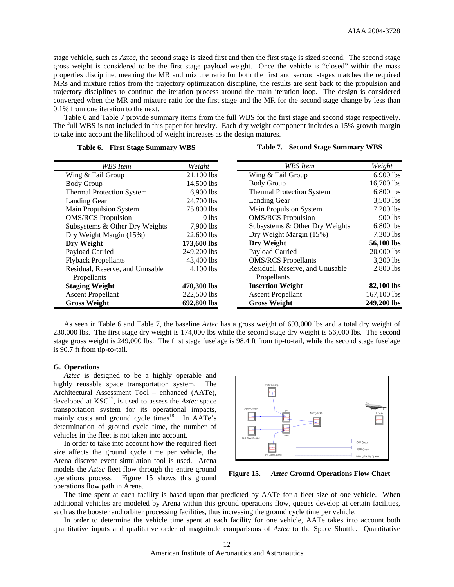stage vehicle, such as *Aztec*, the second stage is sized first and then the first stage is sized second. The second stage gross weight is considered to be the first stage payload weight. Once the vehicle is "closed" within the mass properties discipline, meaning the MR and mixture ratio for both the first and second stages matches the required MRs and mixture ratios from the trajectory optimization discipline, the results are sent back to the propulsion and trajectory disciplines to continue the iteration process around the main iteration loop. The design is considered converged when the MR and mixture ratio for the first stage and the MR for the second stage change by less than 0.1% from one iteration to the next.

Table 6 and Table 7 provide summary items from the full WBS for the first stage and second stage respectively. The full WBS is not included in this paper for brevity. Each dry weight component includes a 15% growth margin to take into account the likelihood of weight increases as the design matures.

| <b>WBS</b> Item                  | Weight      | <b>WBS</b> Item                  | Weight      |
|----------------------------------|-------------|----------------------------------|-------------|
| Wing & Tail Group                | 21,100 lbs  | Wing & Tail Group                | 6,900 lbs   |
| <b>Body Group</b>                | 14,500 lbs  | <b>Body Group</b>                | 16,700 lbs  |
| <b>Thermal Protection System</b> | $6,900$ lbs | <b>Thermal Protection System</b> | 6,800 lbs   |
| Landing Gear                     | 24,700 lbs  | Landing Gear                     | 3,500 lbs   |
| Main Propulsion System           | 75,800 lbs  | Main Propulsion System           | 7,200 lbs   |
| <b>OMS/RCS</b> Propulsion        | $0$ lbs     | <b>OMS/RCS</b> Propulsion        | 900 lbs     |
| Subsystems & Other Dry Weights   | 7,900 lbs   | Subsystems & Other Dry Weights   | 6,800 lbs   |
| Dry Weight Margin (15%)          | 22,600 lbs  | Dry Weight Margin (15%)          | 7,300 lbs   |
| Dry Weight                       | 173,600 lbs | Dry Weight                       | 56,100 lbs  |
| Payload Carried                  | 249,200 lbs | Payload Carried                  | 20,000 lbs  |
| <b>Flyback Propellants</b>       | 43,400 lbs  | <b>OMS/RCS</b> Propellants       | 3,200 lbs   |
| Residual, Reserve, and Unusable  | $4,100$ lbs | Residual, Reserve, and Unusable  | 2,800 lbs   |
| Propellants                      |             | Propellants                      |             |
| <b>Staging Weight</b>            | 470,300 lbs | <b>Insertion Weight</b>          | 82,100 lbs  |
| <b>Ascent Propellant</b>         | 222,500 lbs | <b>Ascent Propellant</b>         | 167,100 lbs |
| <b>Gross Weight</b>              | 692,800 lbs | <b>Gross Weight</b>              | 249,200 lbs |

# **Table 6. First Stage Summary WBS**

# **Table 7. Second Stage Summary WBS**

As seen in Table 6 and Table 7, the baseline *Aztec* has a gross weight of 693,000 lbs and a total dry weight of 230,000 lbs. The first stage dry weight is 174,000 lbs while the second stage dry weight is 56,000 lbs. The second stage gross weight is 249,000 lbs. The first stage fuselage is 98.4 ft from tip-to-tail, while the second stage fuselage is 90.7 ft from tip-to-tail.

#### **G. Operations**

*Aztec* is designed to be a highly operable and highly reusable space transportation system. The Architectural Assessment Tool – enhanced (AATe), developed at KSC<sup>17</sup>, is used to assess the *Aztec* space transportation system for its operational impacts, mainly costs and ground cycle times<sup>18</sup>. In AATe's determination of ground cycle time, the number of vehicles in the fleet is not taken into account.

In order to take into account how the required fleet size affects the ground cycle time per vehicle, the Arena discrete event simulation tool is used. Arena models the *Aztec* fleet flow through the entire ground operations process. Figure 15 shows this ground operations flow path in Arena.



**Figure 15.** *Aztec* **Ground Operations Flow Chart** 

The time spent at each facility is based upon that predicted by AATe for a fleet size of one vehicle. When additional vehicles are modeled by Arena within this ground operations flow, queues develop at certain facilities, such as the booster and orbiter processing facilities, thus increasing the ground cycle time per vehicle.

In order to determine the vehicle time spent at each facility for one vehicle, AATe takes into account both quantitative inputs and qualitative order of magnitude comparisons of *Aztec* to the Space Shuttle. Quantitative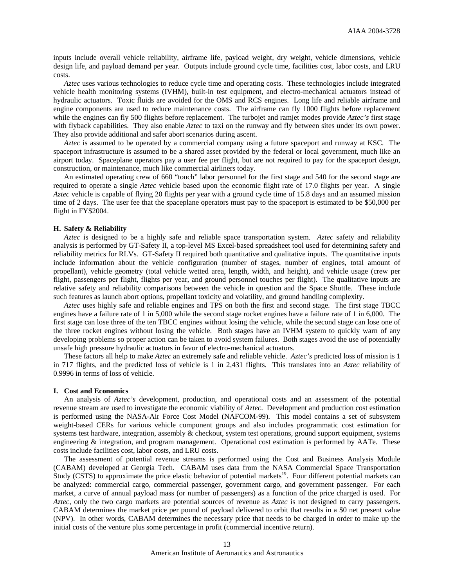inputs include overall vehicle reliability, airframe life, payload weight, dry weight, vehicle dimensions, vehicle design life, and payload demand per year. Outputs include ground cycle time, facilities cost, labor costs, and LRU costs.

*Aztec* uses various technologies to reduce cycle time and operating costs. These technologies include integrated vehicle health monitoring systems (IVHM), built-in test equipment, and electro-mechanical actuators instead of hydraulic actuators. Toxic fluids are avoided for the OMS and RCS engines. Long life and reliable airframe and engine components are used to reduce maintenance costs. The airframe can fly 1000 flights before replacement while the engines can fly 500 flights before replacement. The turbojet and ramjet modes provide *Aztec's* first stage with flyback capabilities. They also enable *Aztec* to taxi on the runway and fly between sites under its own power. They also provide additional and safer abort scenarios during ascent.

*Aztec* is assumed to be operated by a commercial company using a future spaceport and runway at KSC. The spaceport infrastructure is assumed to be a shared asset provided by the federal or local government, much like an airport today. Spaceplane operators pay a user fee per flight, but are not required to pay for the spaceport design, construction, or maintenance, much like commercial airliners today.

An estimated operating crew of 660 "touch" labor personnel for the first stage and 540 for the second stage are required to operate a single *Aztec* vehicle based upon the economic flight rate of 17.0 flights per year. A single *Aztec* vehicle is capable of flying 20 flights per year with a ground cycle time of 15.8 days and an assumed mission time of 2 days. The user fee that the spaceplane operators must pay to the spaceport is estimated to be \$50,000 per flight in FY\$2004.

#### **H. Safety & Reliability**

*Aztec* is designed to be a highly safe and reliable space transportation system. *Aztec* safety and reliability analysis is performed by GT-Safety II, a top-level MS Excel-based spreadsheet tool used for determining safety and reliability metrics for RLVs. GT-Safety II required both quantitative and qualitative inputs. The quantitative inputs include information about the vehicle configuration (number of stages, number of engines, total amount of propellant), vehicle geometry (total vehicle wetted area, length, width, and height), and vehicle usage (crew per flight, passengers per flight, flights per year, and ground personnel touches per flight). The qualitative inputs are relative safety and reliability comparisons between the vehicle in question and the Space Shuttle. These include such features as launch abort options, propellant toxicity and volatility, and ground handling complexity.

*Aztec* uses highly safe and reliable engines and TPS on both the first and second stage. The first stage TBCC engines have a failure rate of 1 in 5,000 while the second stage rocket engines have a failure rate of 1 in 6,000. The first stage can lose three of the ten TBCC engines without losing the vehicle, while the second stage can lose one of the three rocket engines without losing the vehicle. Both stages have an IVHM system to quickly warn of any developing problems so proper action can be taken to avoid system failures. Both stages avoid the use of potentially unsafe high pressure hydraulic actuators in favor of electro-mechanical actuators.

These factors all help to make *Aztec* an extremely safe and reliable vehicle. *Aztec's* predicted loss of mission is 1 in 717 flights, and the predicted loss of vehicle is 1 in 2,431 flights. This translates into an *Aztec* reliability of 0.9996 in terms of loss of vehicle.

#### **I. Cost and Economics**

An analysis of *Aztec's* development, production, and operational costs and an assessment of the potential revenue stream are used to investigate the economic viability of *Aztec*. Development and production cost estimation is performed using the NASA-Air Force Cost Model (NAFCOM-99). This model contains a set of subsystem weight-based CERs for various vehicle component groups and also includes programmatic cost estimation for systems test hardware, integration, assembly  $\&$  checkout, system test operations, ground support equipment, systems engineering & integration, and program management. Operational cost estimation is performed by AATe. These costs include facilities cost, labor costs, and LRU costs.

The assessment of potential revenue streams is performed using the Cost and Business Analysis Module (CABAM) developed at Georgia Tech. CABAM uses data from the NASA Commercial Space Transportation Study (CSTS) to approximate the price elastic behavior of potential markets<sup>19</sup>. Four different potential markets can be analyzed: commercial cargo, commercial passenger, government cargo, and government passenger. For each market, a curve of annual payload mass (or number of passengers) as a function of the price charged is used. For *Aztec*, only the two cargo markets are potential sources of revenue as *Aztec* is not designed to carry passengers. CABAM determines the market price per pound of payload delivered to orbit that results in a \$0 net present value (NPV). In other words, CABAM determines the necessary price that needs to be charged in order to make up the initial costs of the venture plus some percentage in profit (commercial incentive return).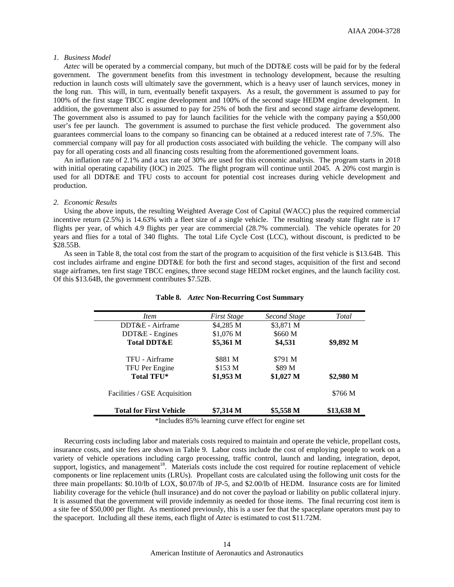#### *1. Business Model*

*Aztec* will be operated by a commercial company, but much of the DDT&E costs will be paid for by the federal government. The government benefits from this investment in technology development, because the resulting reduction in launch costs will ultimately save the government, which is a heavy user of launch services, money in the long run. This will, in turn, eventually benefit taxpayers. As a result, the government is assumed to pay for 100% of the first stage TBCC engine development and 100% of the second stage HEDM engine development. In addition, the government also is assumed to pay for 25% of both the first and second stage airframe development. The government also is assumed to pay for launch facilities for the vehicle with the company paying a \$50,000 user's fee per launch. The government is assumed to purchase the first vehicle produced. The government also guarantees commercial loans to the company so financing can be obtained at a reduced interest rate of 7.5%. The commercial company will pay for all production costs associated with building the vehicle. The company will also pay for all operating costs and all financing costs resulting from the aforementioned government loans.

An inflation rate of 2.1% and a tax rate of 30% are used for this economic analysis. The program starts in 2018 with initial operating capability (IOC) in 2025. The flight program will continue until 2045. A 20% cost margin is used for all DDT&E and TFU costs to account for potential cost increases during vehicle development and production.

#### *2. Economic Results*

Using the above inputs, the resulting Weighted Average Cost of Capital (WACC) plus the required commercial incentive return (2.5%) is 14.63% with a fleet size of a single vehicle. The resulting steady state flight rate is 17 flights per year, of which 4.9 flights per year are commercial (28.7% commercial). The vehicle operates for 20 years and flies for a total of 340 flights. The total Life Cycle Cost (LCC), without discount, is predicted to be \$28.55B.

As seen in Table 8, the total cost from the start of the program to acquisition of the first vehicle is \$13.64B. This cost includes airframe and engine DDT&E for both the first and second stages, acquisition of the first and second stage airframes, ten first stage TBCC engines, three second stage HEDM rocket engines, and the launch facility cost. Of this \$13.64B, the government contributes \$7.52B.

| <i>Item</i>                    | <b>First Stage</b> | Second Stage | Total      |
|--------------------------------|--------------------|--------------|------------|
| DDT&E - Airframe               | \$4,285 M          | \$3,871 M    |            |
| DDT&E - Engines                | \$1,076 M          | \$660 M      |            |
| <b>Total DDT&amp;E</b>         | \$5,361 M          | \$4,531      | \$9,892 M  |
| TFU - Airframe                 | \$881 M            | \$791 M      |            |
| TFU Per Engine                 | \$153 M            | \$89 M       |            |
| <b>Total TFU*</b>              | $$1,953$ M         | \$1,027 M    | \$2,980 M  |
| Facilities / GSE Acquisition   |                    |              | \$766 M    |
| <b>Total for First Vehicle</b> | \$7,314 M          | \$5,558 M    | \$13,638 M |

### **Table 8.** *Aztec* **Non-Recurring Cost Summary**

\*Includes 85% learning curve effect for engine set

Recurring costs including labor and materials costs required to maintain and operate the vehicle, propellant costs, insurance costs, and site fees are shown in Table 9. Labor costs include the cost of employing people to work on a variety of vehicle operations including cargo processing, traffic control, launch and landing, integration, depot, support, logistics, and management<sup>18</sup>. Materials costs include the cost required for routine replacement of vehicle components or line replacement units (LRUs). Propellant costs are calculated using the following unit costs for the three main propellants: \$0.10/lb of LOX, \$0.07/lb of JP-5, and \$2.00/lb of HEDM. Insurance costs are for limited liability coverage for the vehicle (hull insurance) and do not cover the payload or liability on public collateral injury. It is assumed that the government will provide indemnity as needed for those items. The final recurring cost item is a site fee of \$50,000 per flight. As mentioned previously, this is a user fee that the spaceplane operators must pay to the spaceport. Including all these items, each flight of *Aztec* is estimated to cost \$11.72M.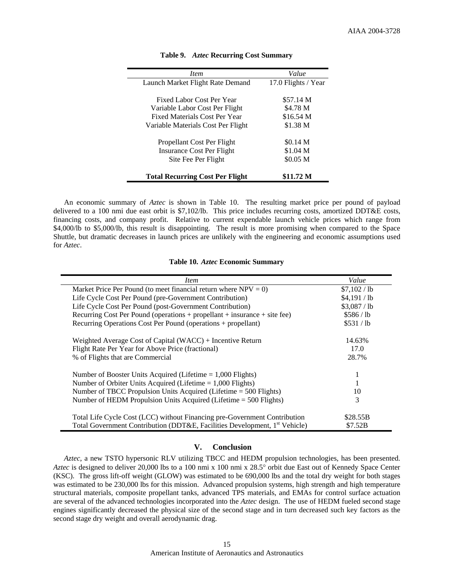| <i>Item</i>                            | Value               |
|----------------------------------------|---------------------|
| Launch Market Flight Rate Demand       | 17.0 Flights / Year |
|                                        |                     |
| Fixed Labor Cost Per Year              | \$57.14 M           |
| Variable Labor Cost Per Flight         | \$4.78 M            |
| Fixed Materials Cost Per Year          | \$16.54 M           |
| Variable Materials Cost Per Flight     | \$1.38 <sub>M</sub> |
| Propellant Cost Per Flight             | \$0.14 <sub>M</sub> |
| Insurance Cost Per Flight              | \$1.04 M            |
| Site Fee Per Flight                    | \$0.05 M            |
| <b>Total Recurring Cost Per Flight</b> | \$11.72 M           |

#### **Table 9.** *Aztec* **Recurring Cost Summary**

An economic summary of *Aztec* is shown in Table 10. The resulting market price per pound of payload delivered to a 100 nmi due east orbit is \$7,102/lb. This price includes recurring costs, amortized DDT&E costs, financing costs, and company profit. Relative to current expendable launch vehicle prices which range from \$4,000/lb to \$5,000/lb, this result is disappointing. The result is more promising when compared to the Space Shuttle, but dramatic decreases in launch prices are unlikely with the engineering and economic assumptions used for *Aztec*.

#### **Table 10.** *Aztec* **Economic Summary**

| <i>Item</i>                                                                                                                                                         | Value                |
|---------------------------------------------------------------------------------------------------------------------------------------------------------------------|----------------------|
| Market Price Per Pound (to meet financial return where $NPV = 0$ )                                                                                                  | \$7,102/lb           |
| Life Cycle Cost Per Pound (pre-Government Contribution)                                                                                                             | \$4,191/lb           |
| Life Cycle Cost Per Pound (post-Government Contribution)                                                                                                            | \$3,087/lb           |
| Recurring Cost Per Pound (operations + propellant + insurance + site fee)                                                                                           | \$586/1 <sub>b</sub> |
| Recurring Operations Cost Per Pound (operations + propellant)                                                                                                       | \$531/1 <sub>b</sub> |
| Weighted Average Cost of Capital $(WACC)$ + Incentive Return                                                                                                        | 14.63%               |
| Flight Rate Per Year for Above Price (fractional)                                                                                                                   | 17.0                 |
| % of Flights that are Commercial                                                                                                                                    | 28.7%                |
| Number of Booster Units Acquired (Lifetime $= 1,000$ Flights)                                                                                                       |                      |
| Number of Orbiter Units Acquired (Lifetime $= 1,000$ Flights)                                                                                                       |                      |
| Number of TBCC Propulsion Units Acquired (Lifetime = 500 Flights)                                                                                                   | 10                   |
| Number of HEDM Propulsion Units Acquired (Lifetime = 500 Flights)                                                                                                   | 3                    |
| Total Life Cycle Cost (LCC) without Financing pre-Government Contribution<br>Total Government Contribution (DDT&E, Facilities Development, 1 <sup>st</sup> Vehicle) | \$28.55B             |
|                                                                                                                                                                     | \$7.52B              |

# **V. Conclusion**

*Aztec*, a new TSTO hypersonic RLV utilizing TBCC and HEDM propulsion technologies, has been presented. *Aztec* is designed to deliver 20,000 lbs to a 100 nmi x 100 nmi x 28.5° orbit due East out of Kennedy Space Center (KSC). The gross lift-off weight (GLOW) was estimated to be 690,000 lbs and the total dry weight for both stages was estimated to be 230,000 lbs for this mission. Advanced propulsion systems, high strength and high temperature structural materials, composite propellant tanks, advanced TPS materials, and EMAs for control surface actuation are several of the advanced technologies incorporated into the *Aztec* design. The use of HEDM fueled second stage engines significantly decreased the physical size of the second stage and in turn decreased such key factors as the second stage dry weight and overall aerodynamic drag.